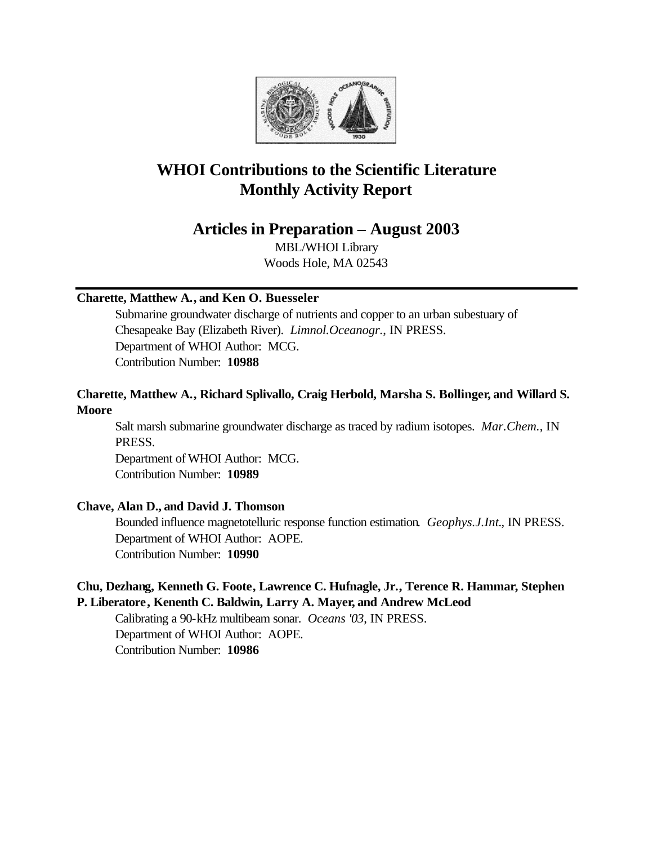

# **WHOI Contributions to the Scientific Literature Monthly Activity Report**

# **Articles in Preparation – August 2003**

MBL/WHOI Library Woods Hole, MA 02543

# **Charette, Matthew A., and Ken O. Buesseler**

Submarine groundwater discharge of nutrients and copper to an urban subestuary of Chesapeake Bay (Elizabeth River). *Limnol.Oceanogr.*, IN PRESS. Department of WHOI Author: MCG. Contribution Number: **10988**

# **Charette, Matthew A., Richard Splivallo, Craig Herbold, Marsha S. Bollinger, and Willard S. Moore**

Salt marsh submarine groundwater discharge as traced by radium isotopes. *Mar.Chem.*, IN PRESS.

Department of WHOI Author: MCG. Contribution Number: **10989**

# **Chave, Alan D., and David J. Thomson**

Bounded influence magnetotelluric response function estimation. *Geophys.J.Int.*, IN PRESS. Department of WHOI Author: AOPE. Contribution Number: **10990**

# **Chu, Dezhang, Kenneth G. Foote, Lawrence C. Hufnagle, Jr., Terence R. Hammar, Stephen P. Liberatore, Kenenth C. Baldwin, Larry A. Mayer, and Andrew McLeod**

Calibrating a 90-kHz multibeam sonar. *Oceans '03*, IN PRESS. Department of WHOI Author: AOPE. Contribution Number: **10986**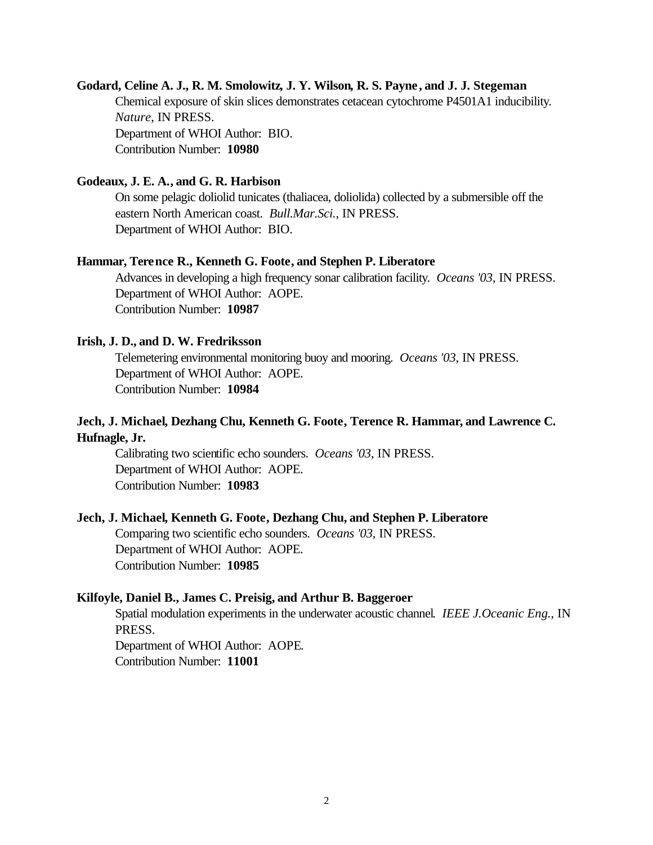#### **Godard, Celine A. J., R. M. Smolowitz, J. Y. Wilson, R. S. Payne, and J. J. Stegeman**

Chemical exposure of skin slices demonstrates cetacean cytochrome P4501A1 inducibility. *Nature*, IN PRESS. Department of WHOI Author: BIO. Contribution Number: **10980**

#### **Godeaux, J. E. A., and G. R. Harbison**

On some pelagic doliolid tunicates (thaliacea, doliolida) collected by a submersible off the eastern North American coast. *Bull.Mar.Sci.*, IN PRESS. Department of WHOI Author: BIO.

#### **Hammar, Terence R., Kenneth G. Foote, and Stephen P. Liberatore**

Advances in developing a high frequency sonar calibration facility. *Oceans '03*, IN PRESS. Department of WHOI Author: AOPE. Contribution Number: **10987**

#### **Irish, J. D., and D. W. Fredriksson**

Telemetering environmental monitoring buoy and mooring. *Oceans '03*, IN PRESS. Department of WHOI Author: AOPE. Contribution Number: **10984**

# **Jech, J. Michael, Dezhang Chu, Kenneth G. Foote, Terence R. Hammar, and Lawrence C. Hufnagle, Jr.**

Calibrating two scientific echo sounders. *Oceans '03*, IN PRESS. Department of WHOI Author: AOPE. Contribution Number: **10983**

#### **Jech, J. Michael, Kenneth G. Foote, Dezhang Chu, and Stephen P. Liberatore**

Comparing two scientific echo sounders. *Oceans '03*, IN PRESS. Department of WHOI Author: AOPE. Contribution Number: **10985**

#### **Kilfoyle, Daniel B., James C. Preisig, and Arthur B. Baggeroer**

Spatial modulation experiments in the underwater acoustic channel. *IEEE J.Oceanic Eng.*, IN PRESS. Department of WHOI Author: AOPE.

Contribution Number: **11001**